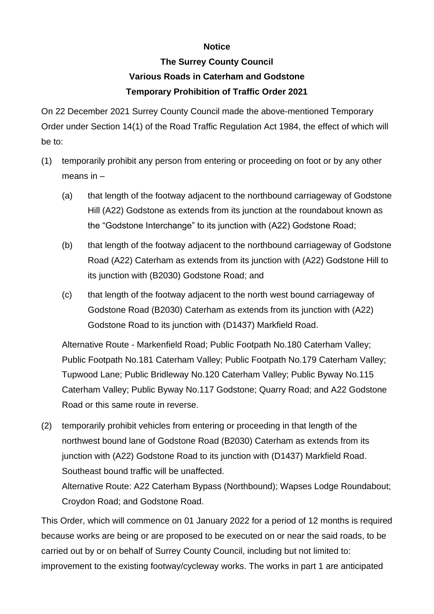## **Notice**

## **The Surrey County Council Various Roads in Caterham and Godstone Temporary Prohibition of Traffic Order 2021**

On 22 December 2021 Surrey County Council made the above-mentioned Temporary Order under Section 14(1) of the Road Traffic Regulation Act 1984, the effect of which will be to:

- (1) temporarily prohibit any person from entering or proceeding on foot or by any other means in –
	- (a) that length of the footway adjacent to the northbound carriageway of Godstone Hill (A22) Godstone as extends from its junction at the roundabout known as the "Godstone Interchange" to its junction with (A22) Godstone Road;
	- (b) that length of the footway adjacent to the northbound carriageway of Godstone Road (A22) Caterham as extends from its junction with (A22) Godstone Hill to its junction with (B2030) Godstone Road; and
	- (c) that length of the footway adjacent to the north west bound carriageway of Godstone Road (B2030) Caterham as extends from its junction with (A22) Godstone Road to its junction with (D1437) Markfield Road.

Alternative Route - Markenfield Road; Public Footpath No.180 Caterham Valley; Public Footpath No.181 Caterham Valley; Public Footpath No.179 Caterham Valley; Tupwood Lane; Public Bridleway No.120 Caterham Valley; Public Byway No.115 Caterham Valley; Public Byway No.117 Godstone; Quarry Road; and A22 Godstone Road or this same route in reverse.

(2) temporarily prohibit vehicles from entering or proceeding in that length of the northwest bound lane of Godstone Road (B2030) Caterham as extends from its junction with (A22) Godstone Road to its junction with (D1437) Markfield Road. Southeast bound traffic will be unaffected.

Alternative Route: A22 Caterham Bypass (Northbound); Wapses Lodge Roundabout; Croydon Road; and Godstone Road.

This Order, which will commence on 01 January 2022 for a period of 12 months is required because works are being or are proposed to be executed on or near the said roads, to be carried out by or on behalf of Surrey County Council, including but not limited to: improvement to the existing footway/cycleway works. The works in part 1 are anticipated